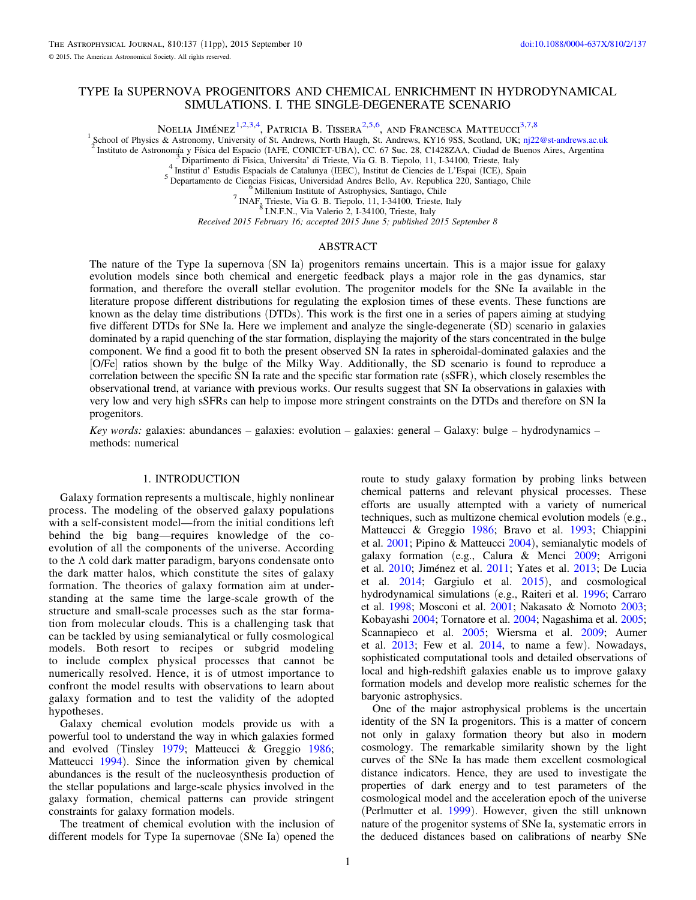Noelia Jiménez<sup>1,2,3,4</sup>, Patricia B. Tissera<sup>2,5,6</sup>, and Francesca Matteucci<sup>3,7,8</sup>

<sup>1</sup> School of Physics & Astronomy, University of St. Andrews, North Haugh, St. Andrews, KY16 9SS, Scotland, UK; [nj22@st-andrews.ac.uk](mailto:nj22@st-andrews.ac.uk)<br>
<sup>2</sup> Instituto de Astronomía y Física del Espacio (IAFE, CONICET-UBA), CC. 67 Suc. 28,

Received 2015 February 16; accepted 2015 June 5; published 2015 September 8

### ABSTRACT

The nature of the Type Ia supernova (SN Ia) progenitors remains uncertain. This is a major issue for galaxy evolution models since both chemical and energetic feedback plays a major role in the gas dynamics, star formation, and therefore the overall stellar evolution. The progenitor models for the SNe Ia available in the literature propose different distributions for regulating the explosion times of these events. These functions are known as the delay time distributions (DTDs). This work is the first one in a series of papers aiming at studying five different DTDs for SNe Ia. Here we implement and analyze the single-degenerate (SD) scenario in galaxies dominated by a rapid quenching of the star formation, displaying the majority of the stars concentrated in the bulge component. We find a good fit to both the present observed SN Ia rates in spheroidal-dominated galaxies and the [O/Fe] ratios shown by the bulge of the Milky Way. Additionally, the SD scenario is found to reproduce a correlation between the specific SN Ia rate and the specific star formation rate (sSFR), which closely resembles the observational trend, at variance with previous works. Our results suggest that SN Ia observations in galaxies with very low and very high sSFRs can help to impose more stringent constraints on the DTDs and therefore on SN Ia progenitors.

Key words: galaxies: abundances – galaxies: evolution – galaxies: general – Galaxy: bulge – hydrodynamics – methods: numerical

## 1. INTRODUCTION

Galaxy formation represents a multiscale, highly nonlinear process. The modeling of the observed galaxy populations with a self-consistent model—from the initial conditions left behind the big bang—requires knowledge of the coevolution of all the components of the universe. According to the  $\Lambda$  cold dark matter paradigm, baryons condensate onto the dark matter halos, which constitute the sites of galaxy formation. The theories of galaxy formation aim at understanding at the same time the large-scale growth of the structure and small-scale processes such as the star formation from molecular clouds. This is a challenging task that can be tackled by using semianalytical or fully cosmological models. Both resort to recipes or subgrid modeling to include complex physical processes that cannot be numerically resolved. Hence, it is of utmost importance to confront the model results with observations to learn about galaxy formation and to test the validity of the adopted hypotheses.

Galaxy chemical evolution models provide us with a powerful tool to understand the way in which galaxies formed and evolved (Tinsley [1979](#page-10-0); Matteucci & Greggio [1986](#page-10-0); Matteucci [1994](#page-10-0)). Since the information given by chemical abundances is the result of the nucleosynthesis production of the stellar populations and large-scale physics involved in the galaxy formation, chemical patterns can provide stringent constraints for galaxy formation models.

The treatment of chemical evolution with the inclusion of different models for Type Ia supernovae (SNe Ia) opened the

route to study galaxy formation by probing links between chemical patterns and relevant physical processes. These efforts are usually attempted with a variety of numerical techniques, such as multizone chemical evolution models (e.g., Matteucci & Greggio [1986;](#page-10-0) Bravo et al. [1993](#page-10-0); Chiappini et al. [2001](#page-10-0); Pipino & Matteucci [2004](#page-10-0)), semianalytic models of galaxy formation (e.g., Calura & Menci [2009](#page-10-0); Arrigoni et al. [2010;](#page-9-0) Jiménez et al. [2011](#page-10-0); Yates et al. [2013;](#page-10-0) De Lucia et al. [2014](#page-10-0); Gargiulo et al. [2015](#page-10-0)), and cosmological hydrodynamical simulations (e.g., Raiteri et al. [1996;](#page-10-0) Carraro et al. [1998](#page-10-0); Mosconi et al. [2001](#page-10-0); Nakasato & Nomoto [2003](#page-10-0); Kobayashi [2004;](#page-10-0) Tornatore et al. [2004;](#page-10-0) Nagashima et al. [2005](#page-10-0); Scannapieco et al. [2005;](#page-10-0) Wiersma et al. [2009](#page-10-0); Aumer et al. [2013;](#page-10-0) Few et al. [2014,](#page-10-0) to name a few). Nowadays, sophisticated computational tools and detailed observations of local and high-redshift galaxies enable us to improve galaxy formation models and develop more realistic schemes for the baryonic astrophysics.

One of the major astrophysical problems is the uncertain identity of the SN Ia progenitors. This is a matter of concern not only in galaxy formation theory but also in modern cosmology. The remarkable similarity shown by the light curves of the SNe Ia has made them excellent cosmological distance indicators. Hence, they are used to investigate the properties of dark energy and to test parameters of the cosmological model and the acceleration epoch of the universe (Perlmutter et al. [1999](#page-10-0)). However, given the still unknown nature of the progenitor systems of SNe Ia, systematic errors in the deduced distances based on calibrations of nearby SNe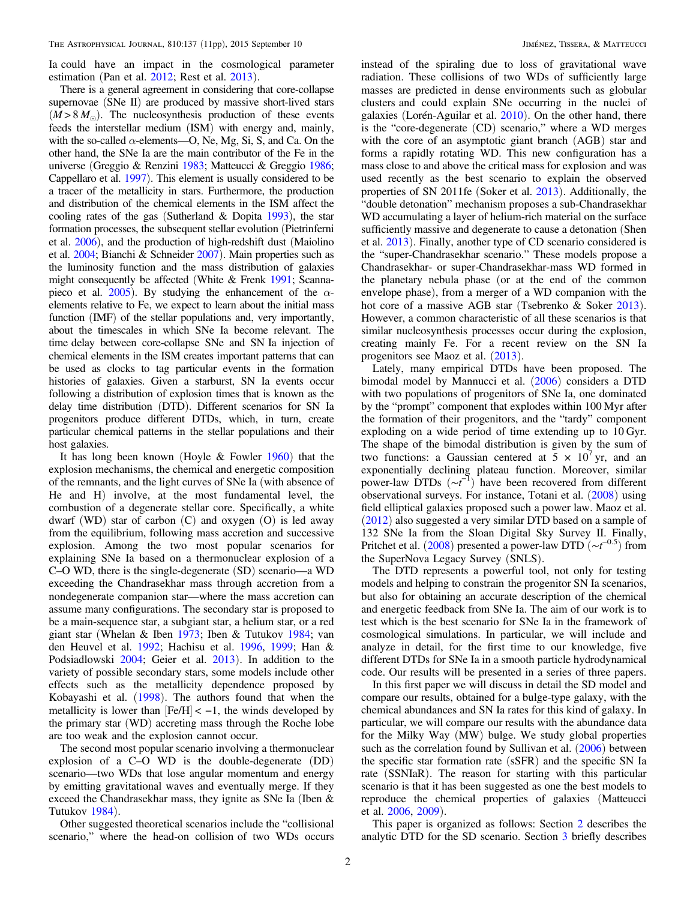Ia could have an impact in the cosmological parameter estimation (Pan et al. [2012](#page-10-0); Rest et al. [2013](#page-10-0)).

There is a general agreement in considering that core-collapse supernovae (SNe II) are produced by massive short-lived stars  $(M > 8 M<sub>o</sub>)$ . The nucleosynthesis production of these events feeds the interstellar medium (ISM) with energy and, mainly, with the so-called  $\alpha$ -elements—O, Ne, Mg, Si, S, and Ca. On the other hand, the SNe Ia are the main contributor of the Fe in the universe (Greggio & Renzini [1983;](#page-10-0) Matteucci & Greggio [1986](#page-10-0); Cappellaro et al. [1997](#page-10-0)). This element is usually considered to be a tracer of the metallicity in stars. Furthermore, the production and distribution of the chemical elements in the ISM affect the cooling rates of the gas (Sutherland & Dopita [1993](#page-10-0)), the star formation processes, the subsequent stellar evolution (Pietrinferni et al. [2006](#page-10-0)), and the production of high-redshift dust (Maiolino et al. [2004;](#page-10-0) Bianchi & Schneider [2007](#page-10-0)). Main properties such as the luminosity function and the mass distribution of galaxies might consequently be affected (White & Frenk [1991;](#page-10-0) Scanna-pieco et al. [2005](#page-10-0)). By studying the enhancement of the  $\alpha$ elements relative to Fe, we expect to learn about the initial mass function (IMF) of the stellar populations and, very importantly, about the timescales in which SNe Ia become relevant. The time delay between core-collapse SNe and SN Ia injection of chemical elements in the ISM creates important patterns that can be used as clocks to tag particular events in the formation histories of galaxies. Given a starburst, SN Ia events occur following a distribution of explosion times that is known as the delay time distribution (DTD). Different scenarios for SN Ia progenitors produce different DTDs, which, in turn, create particular chemical patterns in the stellar populations and their host galaxies.

It has long been known (Hoyle & Fowler [1960](#page-10-0)) that the explosion mechanisms, the chemical and energetic composition of the remnants, and the light curves of SNe Ia (with absence of He and H) involve, at the most fundamental level, the combustion of a degenerate stellar core. Specifically, a white dwarf (WD) star of carbon  $(C)$  and oxygen  $(O)$  is led away from the equilibrium, following mass accretion and successive explosion. Among the two most popular scenarios for explaining SNe Ia based on a thermonuclear explosion of a C–O WD, there is the single-degenerate (SD) scenario—a WD exceeding the Chandrasekhar mass through accretion from a nondegenerate companion star—where the mass accretion can assume many configurations. The secondary star is proposed to be a main-sequence star, a subgiant star, a helium star, or a red giant star (Whelan & Iben [1973;](#page-10-0) Iben & Tutukov [1984](#page-10-0); van den Heuvel et al. [1992;](#page-10-0) Hachisu et al. [1996,](#page-10-0) [1999;](#page-10-0) Han & Podsiadlowski [2004;](#page-10-0) Geier et al. [2013](#page-10-0)). In addition to the variety of possible secondary stars, some models include other effects such as the metallicity dependence proposed by Kobayashi et al. ([1998](#page-10-0)). The authors found that when the metallicity is lower than  $[Fe/H] < -1$ , the winds developed by the primary star (WD) accreting mass through the Roche lobe are too weak and the explosion cannot occur.

The second most popular scenario involving a thermonuclear explosion of a C–O WD is the double-degenerate (DD) scenario—two WDs that lose angular momentum and energy by emitting gravitational waves and eventually merge. If they exceed the Chandrasekhar mass, they ignite as SNe Ia (Iben & Tutukov [1984](#page-10-0)).

Other suggested theoretical scenarios include the "collisional scenario," where the head-on collision of two WDs occurs instead of the spiraling due to loss of gravitational wave radiation. These collisions of two WDs of sufficiently large masses are predicted in dense environments such as globular clusters and could explain SNe occurring in the nuclei of galaxies (Lorén-Aguilar et al. [2010](#page-10-0)). On the other hand, there is the "core-degenerate (CD) scenario," where a WD merges with the core of an asymptotic giant branch (AGB) star and forms a rapidly rotating WD. This new configuration has a mass close to and above the critical mass for explosion and was used recently as the best scenario to explain the observed properties of SN 2011fe (Soker et al. [2013](#page-10-0)). Additionally, the "double detonation" mechanism proposes a sub-Chandrasekhar WD accumulating a layer of helium-rich material on the surface sufficiently massive and degenerate to cause a detonation (Shen et al. [2013](#page-10-0)). Finally, another type of CD scenario considered is the "super-Chandrasekhar scenario." These models propose a Chandrasekhar- or super-Chandrasekhar-mass WD formed in the planetary nebula phase (or at the end of the common envelope phase), from a merger of a WD companion with the hot core of a massive AGB star (Tsebrenko & Soker [2013](#page-10-0)). However, a common characteristic of all these scenarios is that similar nucleosynthesis processes occur during the explosion, creating mainly Fe. For a recent review on the SN Ia progenitors see Maoz et al. ([2013](#page-10-0)).

Lately, many empirical DTDs have been proposed. The bimodal model by Mannucci et al. ([2006](#page-10-0)) considers a DTD with two populations of progenitors of SNe Ia, one dominated by the "prompt" component that explodes within 100 Myr after the formation of their progenitors, and the "tardy" component exploding on a wide period of time extending up to 10 Gyr. The shape of the bimodal distribution is given by the sum of two functions: a Gaussian centered at  $5 \times 10^7$  yr, and an exponentially declining plateau function. Moreover, similar power-law DTDs  $(\sim t^{-1})$  have been recovered from different observational surveys. For instance, Totani et al. ([2008](#page-10-0)) using field elliptical galaxies proposed such a power law. Maoz et al. ([2012](#page-10-0)) also suggested a very similar DTD based on a sample of 132 SNe Ia from the Sloan Digital Sky Survey II. Finally, Pritchet et al. ([2008](#page-10-0)) presented a power-law DTD ( $\sim t^{-0.5}$ ) from the SuperNova Legacy Survey (SNLS).

The DTD represents a powerful tool, not only for testing models and helping to constrain the progenitor SN Ia scenarios, but also for obtaining an accurate description of the chemical and energetic feedback from SNe Ia. The aim of our work is to test which is the best scenario for SNe Ia in the framework of cosmological simulations. In particular, we will include and analyze in detail, for the first time to our knowledge, five different DTDs for SNe Ia in a smooth particle hydrodynamical code. Our results will be presented in a series of three papers.

In this first paper we will discuss in detail the SD model and compare our results, obtained for a bulge-type galaxy, with the chemical abundances and SN Ia rates for this kind of galaxy. In particular, we will compare our results with the abundance data for the Milky Way (MW) bulge. We study global properties such as the correlation found by Sullivan et al. ([2006](#page-10-0)) between the specific star formation rate (sSFR) and the specific SN Ia rate (SSNIaR). The reason for starting with this particular scenario is that it has been suggested as one the best models to reproduce the chemical properties of galaxies (Matteucci et al. [2006](#page-10-0), [2009](#page-10-0)).

This paper is organized as follows: Section [2](#page-2-0) describes the analytic DTD for the SD scenario. Section [3](#page-2-0) briefly describes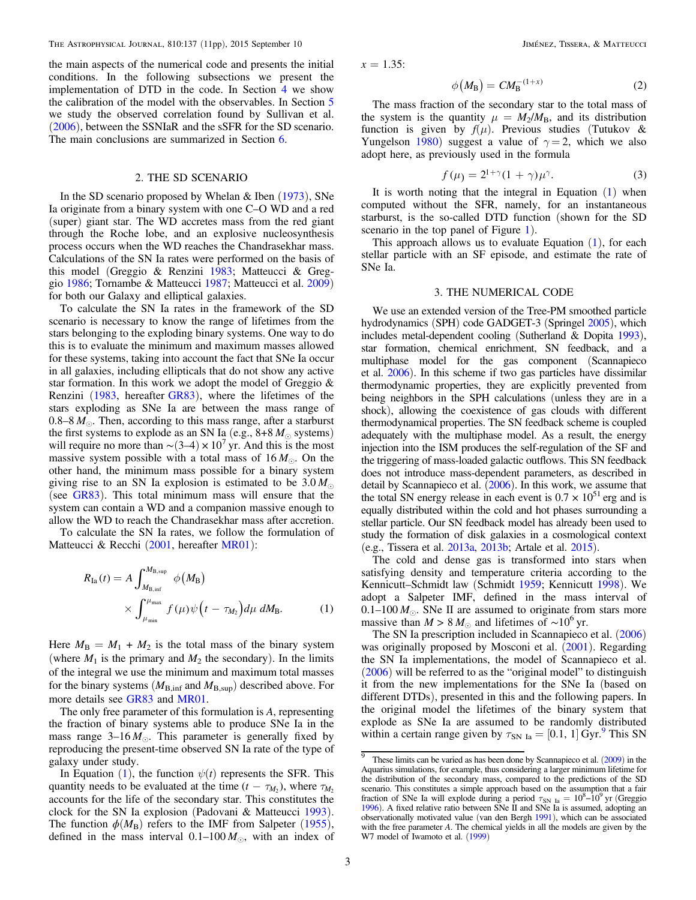<span id="page-2-0"></span>the main aspects of the numerical code and presents the initial conditions. In the following subsections we present the implementation of DTD in the code. In Section [4](#page-4-0) we show the calibration of the model with the observables. In Section [5](#page-7-0) we study the observed correlation found by Sullivan et al. ([2006](#page-10-0)), between the SSNIaR and the sSFR for the SD scenario. The main conclusions are summarized in Section [6](#page-8-0).

## 2. THE SD SCENARIO

In the SD scenario proposed by Whelan  $\&$  Iben ([1973](#page-10-0)), SNe Ia originate from a binary system with one C–O WD and a red (super) giant star. The WD accretes mass from the red giant through the Roche lobe, and an explosive nucleosynthesis process occurs when the WD reaches the Chandrasekhar mass. Calculations of the SN Ia rates were performed on the basis of this model (Greggio & Renzini [1983](#page-10-0); Matteucci & Greggio [1986](#page-10-0); Tornambe & Matteucci [1987](#page-10-0); Matteucci et al. [2009](#page-10-0)) for both our Galaxy and elliptical galaxies.

To calculate the SN Ia rates in the framework of the SD scenario is necessary to know the range of lifetimes from the stars belonging to the exploding binary systems. One way to do this is to evaluate the minimum and maximum masses allowed for these systems, taking into account the fact that SNe Ia occur in all galaxies, including ellipticals that do not show any active star formation. In this work we adopt the model of Greggio & Renzini ([1983,](#page-10-0) hereafter [GR83](#page-10-0)), where the lifetimes of the stars exploding as SNe Ia are between the mass range of 0.8–8  $M_{\odot}$ . Then, according to this mass range, after a starburst the first systems to explode as an SN Ia (e.g.,  $8+8 M_{\odot}$  systems) will require no more than  $\sim$ (3–4) × 10' yr. And this is the most massive system possible with a total mass of  $16 M_{\odot}$ . On the other hand, the minimum mass possible for a binary system giving rise to an SN Ia explosion is estimated to be  $3.0 M_{\odot}$ (see [GR83](#page-10-0)). This total minimum mass will ensure that the system can contain a WD and a companion massive enough to allow the WD to reach the Chandrasekhar mass after accretion.

To calculate the SN Ia rates, we follow the formulation of Matteucci & Recchi ([2001](#page-10-0), hereafter [MR01](#page-10-0)):

$$
R_{\text{Ia}}(t) = A \int_{M_{\text{B,inf}}}^{M_{\text{B,sup}}} \phi(M_{\text{B}})
$$
  
 
$$
\times \int_{\mu_{\text{min}}}^{\mu_{\text{max}}} f(\mu) \psi(t - \tau_{M_2}) d\mu \, dM_{\text{B}}.
$$
 (1)

Here  $M_{\rm B} = M_1 + M_2$  is the total mass of the binary system (where  $M_1$  is the primary and  $M_2$  the secondary). In the limits of the integral we use the minimum and maximum total masses for the binary systems ( $M_{\text{B,inf}}$  and  $M_{\text{B,sup}}$ ) described above. For more details see [GR83](#page-10-0) and [MR01](#page-10-0).

The only free parameter of this formulation is A, representing the fraction of binary systems able to produce SNe Ia in the mass range  $3-16 M_{\odot}$ . This parameter is generally fixed by reproducing the present-time observed SN Ia rate of the type of galaxy under study.

In Equation (1), the function  $\psi(t)$  represents the SFR. This quantity needs to be evaluated at the time  $(t - \tau_{M_2})$ , where  $\tau_{M_2}$ accounts for the life of the secondary star. This constitutes the clock for the SN Ia explosion (Padovani & Matteucci [1993](#page-10-0)). The function  $\phi(M_{\rm B})$  refers to the IMF from Salpeter ([1955](#page-10-0)), defined in the mass interval  $0.1-100 M_{\odot}$ , with an index of  $x = 1.35$ :

$$
\phi\big(M_{\text{B}}\big) = CM_{\text{B}}^{-(1+x)}\tag{2}
$$

The mass fraction of the secondary star to the total mass of the system is the quantity  $\mu = M_2/M_B$ , and its distribution function is given by  $f(\mu)$ . Previous studies (Tutukov & Yungelson [1980](#page-10-0)) suggest a value of  $\gamma = 2$ , which we also adopt here, as previously used in the formula

$$
f(\mu) = 2^{1+\gamma}(1+\gamma)\mu^{\gamma}.
$$
 (3)

It is worth noting that the integral in Equation  $(1)$  when computed without the SFR, namely, for an instantaneous starburst, is the so-called DTD function (shown for the SD scenario in the top panel of Figure [1](#page-3-0)).

This approach allows us to evaluate Equation  $(1)$ , for each stellar particle with an SF episode, and estimate the rate of SNe Ia.

## 3. THE NUMERICAL CODE

We use an extended version of the Tree-PM smoothed particle hydrodynamics (SPH) code GADGET-3 (Springel [2005](#page-10-0)), which includes metal-dependent cooling (Sutherland & Dopita [1993](#page-10-0)), star formation, chemical enrichment, SN feedback, and a multiphase model for the gas component (Scannapieco et al. [2006](#page-10-0)). In this scheme if two gas particles have dissimilar thermodynamic properties, they are explicitly prevented from being neighbors in the SPH calculations (unless they are in a shock), allowing the coexistence of gas clouds with different thermodynamical properties. The SN feedback scheme is coupled adequately with the multiphase model. As a result, the energy injection into the ISM produces the self-regulation of the SF and the triggering of mass-loaded galactic outflows. This SN feedback does not introduce mass-dependent parameters, as described in detail by Scannapieco et al. ([2006](#page-10-0)). In this work, we assume that the total SN energy release in each event is  $0.7 \times 10^{51}$  erg and is equally distributed within the cold and hot phases surrounding a stellar particle. Our SN feedback model has already been used to study the formation of disk galaxies in a cosmological context (e.g., Tissera et al. [2013a](#page-10-0), [2013b](#page-10-0); Artale et al. [2015](#page-10-0)).

The cold and dense gas is transformed into stars when satisfying density and temperature criteria according to the Kennicutt–Schmidt law (Schmidt [1959;](#page-10-0) Kennicutt [1998](#page-10-0)). We adopt a Salpeter IMF, defined in the mass interval of 0.1–100  $M_{\odot}$ . SNe II are assumed to originate from stars more massive than  $M > 8 M_{\odot}$  and lifetimes of ~10<sup>6</sup> yr.

The SN Ia prescription included in Scannapieco et al. ([2006](#page-10-0)) was originally proposed by Mosconi et al. ([2001](#page-10-0)). Regarding the SN Ia implementations, the model of Scannapieco et al. ([2006](#page-10-0)) will be referred to as the "original model" to distinguish it from the new implementations for the SNe Ia (based on different DTDs), presented in this and the following papers. In the original model the lifetimes of the binary system that explode as SNe Ia are assumed to be randomly distributed within a certain range given by  $\tau_{SN Ia} = [0.1, 1]$  Gyr.<sup>9</sup> This SN

 $\overline{9}$  These limits can be varied as has been done by Scannapieco et al. ([2009](#page-10-0)) in the Aquarius simulations, for example, thus considering a larger minimum lifetime for the distribution of the secondary mass, compared to the predictions of the SD scenario. This constitutes a simple approach based on the assumption that a fair fraction of SNe Ia will explode during a period  $\tau_{SN\ Ia} = 10^8 - 10^9$  yr (Greggio [1996](#page-10-0)). A fixed relative ratio between SNe II and SNe Ia is assumed, adopting an observationally motivated value (van den Bergh [1991](#page-10-0)), which can be associated with the free parameter A. The chemical yields in all the models are given by the W7 model of Iwamoto et al.  $(1999)$  $(1999)$  $(1999)$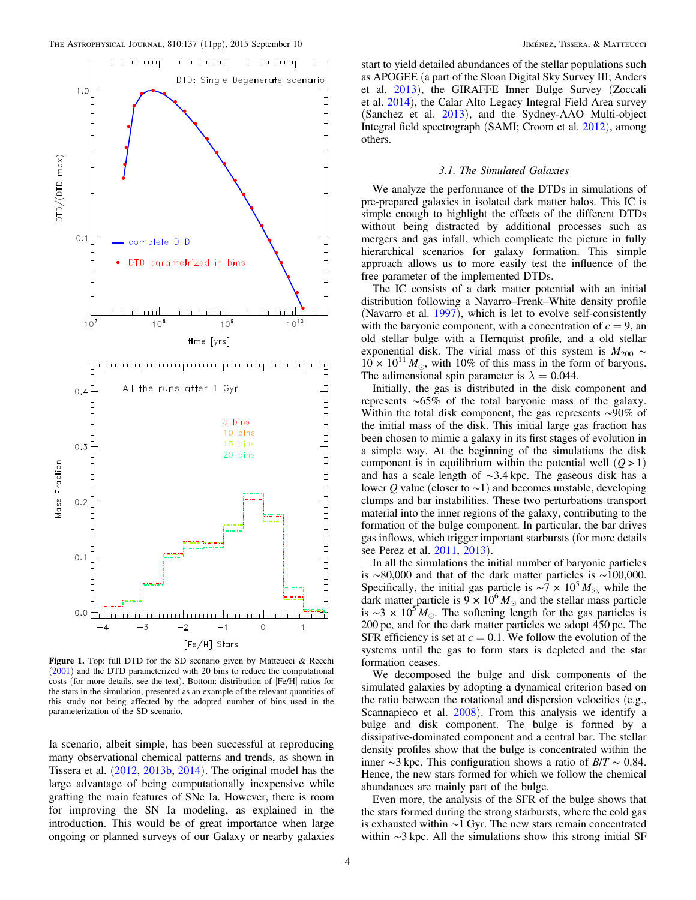<span id="page-3-0"></span>

Figure 1. Top: full DTD for the SD scenario given by Matteucci & Recchi ([2001](#page-10-0)) and the DTD parameterized with 20 bins to reduce the computational costs (for more details, see the text). Bottom: distribution of [Fe/H] ratios for the stars in the simulation, presented as an example of the relevant quantities of this study not being affected by the adopted number of bins used in the parameterization of the SD scenario.

Ia scenario, albeit simple, has been successful at reproducing many observational chemical patterns and trends, as shown in Tissera et al. ([2012,](#page-10-0) [2013b](#page-10-0), [2014](#page-10-0)). The original model has the large advantage of being computationally inexpensive while grafting the main features of SNe Ia. However, there is room for improving the SN Ia modeling, as explained in the introduction. This would be of great importance when large ongoing or planned surveys of our Galaxy or nearby galaxies

start to yield detailed abundances of the stellar populations such as APOGEE (a part of the Sloan Digital Sky Survey III; Anders et al. [2013](#page-9-0)), the GIRAFFE Inner Bulge Survey (Zoccali et al. [2014](#page-10-0)), the Calar Alto Legacy Integral Field Area survey (Sanchez et al. [2013](#page-10-0)), and the Sydney-AAO Multi-object Integral field spectrograph (SAMI; Croom et al. [2012](#page-10-0)), among others.

#### 3.1. The Simulated Galaxies

We analyze the performance of the DTDs in simulations of pre-prepared galaxies in isolated dark matter halos. This IC is simple enough to highlight the effects of the different DTDs without being distracted by additional processes such as mergers and gas infall, which complicate the picture in fully hierarchical scenarios for galaxy formation. This simple approach allows us to more easily test the influence of the free parameter of the implemented DTDs.

The IC consists of a dark matter potential with an initial distribution following a Navarro–Frenk–White density profile (Navarro et al. [1997](#page-10-0)), which is let to evolve self-consistently with the baryonic component, with a concentration of  $c = 9$ , an old stellar bulge with a Hernquist profile, and a old stellar exponential disk. The virial mass of this system is  $M_{200} \sim$  $10 \times 10^{11} M_{\odot}$ , with 10% of this mass in the form of baryons. The adimensional spin parameter is  $\lambda = 0.044$ .

Initially, the gas is distributed in the disk component and represents ∼65% of the total baryonic mass of the galaxy. Within the total disk component, the gas represents ∼90% of the initial mass of the disk. This initial large gas fraction has been chosen to mimic a galaxy in its first stages of evolution in a simple way. At the beginning of the simulations the disk component is in equilibrium within the potential well  $(Q > 1)$ and has a scale length of ∼3.4 kpc. The gaseous disk has a lower Q value (closer to ∼1) and becomes unstable, developing clumps and bar instabilities. These two perturbations transport material into the inner regions of the galaxy, contributing to the formation of the bulge component. In particular, the bar drives gas inflows, which trigger important starbursts (for more details see Perez et al. [2011](#page-10-0), [2013](#page-10-0)).

In all the simulations the initial number of baryonic particles is ∼80,000 and that of the dark matter particles is ∼100,000. Specifically, the initial gas particle is ~7 × 10<sup>5</sup>  $M_{\odot}$ , while the dark matter particle is  $9 \times 10^6 M_{\odot}$  and the stellar mass particle is ~3 × 10<sup>5</sup> M<sub>☉</sub>. The softening length for the gas particles is 200 pc, and for the dark matter particles we adopt 450 pc. The SFR efficiency is set at  $c = 0.1$ . We follow the evolution of the systems until the gas to form stars is depleted and the star formation ceases.

We decomposed the bulge and disk components of the simulated galaxies by adopting a dynamical criterion based on the ratio between the rotational and dispersion velocities (e.g., Scannapieco et al. [2008](#page-10-0)). From this analysis we identify a bulge and disk component. The bulge is formed by a dissipative-dominated component and a central bar. The stellar density profiles show that the bulge is concentrated within the inner ∼3 kpc. This configuration shows a ratio of  $B/T \sim 0.84$ . Hence, the new stars formed for which we follow the chemical abundances are mainly part of the bulge.

Even more, the analysis of the SFR of the bulge shows that the stars formed during the strong starbursts, where the cold gas is exhausted within ∼1 Gyr. The new stars remain concentrated within ∼3 kpc. All the simulations show this strong initial SF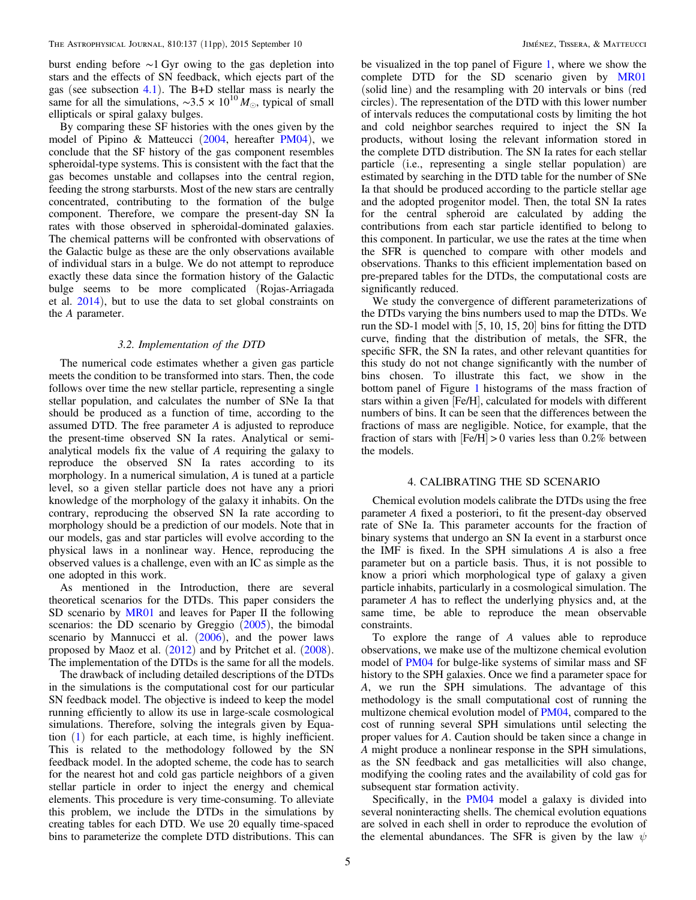<span id="page-4-0"></span>burst ending before ∼1 Gyr owing to the gas depletion into stars and the effects of SN feedback, which ejects part of the gas (see subsection [4.1](#page-5-0)). The B+D stellar mass is nearly the same for all the simulations,  $\sim$ 3.5 × 10<sup>10</sup>  $M_{\odot}$ , typical of small ellipticals or spiral galaxy bulges.

By comparing these SF histories with the ones given by the model of Pipino & Matteucci ([2004,](#page-10-0) hereafter [PM04](#page-10-0)), we conclude that the SF history of the gas component resembles spheroidal-type systems. This is consistent with the fact that the gas becomes unstable and collapses into the central region, feeding the strong starbursts. Most of the new stars are centrally concentrated, contributing to the formation of the bulge component. Therefore, we compare the present-day SN Ia rates with those observed in spheroidal-dominated galaxies. The chemical patterns will be confronted with observations of the Galactic bulge as these are the only observations available of individual stars in a bulge. We do not attempt to reproduce exactly these data since the formation history of the Galactic bulge seems to be more complicated (Rojas-Arriagada et al. [2014](#page-10-0)), but to use the data to set global constraints on the A parameter.

## 3.2. Implementation of the DTD

The numerical code estimates whether a given gas particle meets the condition to be transformed into stars. Then, the code follows over time the new stellar particle, representing a single stellar population, and calculates the number of SNe Ia that should be produced as a function of time, according to the assumed DTD. The free parameter A is adjusted to reproduce the present-time observed SN Ia rates. Analytical or semianalytical models fix the value of A requiring the galaxy to reproduce the observed SN Ia rates according to its morphology. In a numerical simulation, A is tuned at a particle level, so a given stellar particle does not have any a priori knowledge of the morphology of the galaxy it inhabits. On the contrary, reproducing the observed SN Ia rate according to morphology should be a prediction of our models. Note that in our models, gas and star particles will evolve according to the physical laws in a nonlinear way. Hence, reproducing the observed values is a challenge, even with an IC as simple as the one adopted in this work.

As mentioned in the Introduction, there are several theoretical scenarios for the DTDs. This paper considers the SD scenario by [MR01](#page-10-0) and leaves for Paper II the following scenarios: the DD scenario by Greggio  $(2005)$  $(2005)$  $(2005)$ , the bimodal scenario by Mannucci et al. ([2006](#page-10-0)), and the power laws proposed by Maoz et al. ([2012](#page-10-0)) and by Pritchet et al. ([2008](#page-10-0)). The implementation of the DTDs is the same for all the models.

The drawback of including detailed descriptions of the DTDs in the simulations is the computational cost for our particular SN feedback model. The objective is indeed to keep the model running efficiently to allow its use in large-scale cosmological simulations. Therefore, solving the integrals given by Equation ([1](#page-2-0)) for each particle, at each time, is highly inefficient. This is related to the methodology followed by the SN feedback model. In the adopted scheme, the code has to search for the nearest hot and cold gas particle neighbors of a given stellar particle in order to inject the energy and chemical elements. This procedure is very time-consuming. To alleviate this problem, we include the DTDs in the simulations by creating tables for each DTD. We use 20 equally time-spaced bins to parameterize the complete DTD distributions. This can

be visualized in the top panel of Figure [1](#page-3-0), where we show the complete DTD for the SD scenario given by [MR01](#page-10-0) (solid line) and the resampling with 20 intervals or bins (red circles). The representation of the DTD with this lower number of intervals reduces the computational costs by limiting the hot and cold neighbor searches required to inject the SN Ia products, without losing the relevant information stored in the complete DTD distribution. The SN Ia rates for each stellar particle (i.e., representing a single stellar population) are estimated by searching in the DTD table for the number of SNe Ia that should be produced according to the particle stellar age and the adopted progenitor model. Then, the total SN Ia rates for the central spheroid are calculated by adding the contributions from each star particle identified to belong to this component. In particular, we use the rates at the time when the SFR is quenched to compare with other models and observations. Thanks to this efficient implementation based on pre-prepared tables for the DTDs, the computational costs are significantly reduced.

We study the convergence of different parameterizations of the DTDs varying the bins numbers used to map the DTDs. We run the SD-1 model with [5, 10, 15, 20] bins for fitting the DTD curve, finding that the distribution of metals, the SFR, the specific SFR, the SN Ia rates, and other relevant quantities for this study do not not change significantly with the number of bins chosen. To illustrate this fact, we show in the bottom panel of Figure [1](#page-3-0) histograms of the mass fraction of stars within a given [Fe/H], calculated for models with different numbers of bins. It can be seen that the differences between the fractions of mass are negligible. Notice, for example, that the fraction of stars with  $[Fe/H] > 0$  varies less than 0.2% between the models.

#### 4. CALIBRATING THE SD SCENARIO

Chemical evolution models calibrate the DTDs using the free parameter A fixed a posteriori, to fit the present-day observed rate of SNe Ia. This parameter accounts for the fraction of binary systems that undergo an SN Ia event in a starburst once the IMF is fixed. In the SPH simulations A is also a free parameter but on a particle basis. Thus, it is not possible to know a priori which morphological type of galaxy a given particle inhabits, particularly in a cosmological simulation. The parameter A has to reflect the underlying physics and, at the same time, be able to reproduce the mean observable constraints.

To explore the range of A values able to reproduce observations, we make use of the multizone chemical evolution model of [PM04](#page-10-0) for bulge-like systems of similar mass and SF history to the SPH galaxies. Once we find a parameter space for A, we run the SPH simulations. The advantage of this methodology is the small computational cost of running the multizone chemical evolution model of [PM04](#page-10-0), compared to the cost of running several SPH simulations until selecting the proper values for A. Caution should be taken since a change in A might produce a nonlinear response in the SPH simulations, as the SN feedback and gas metallicities will also change, modifying the cooling rates and the availability of cold gas for subsequent star formation activity.

Specifically, in the [PM04](#page-10-0) model a galaxy is divided into several noninteracting shells. The chemical evolution equations are solved in each shell in order to reproduce the evolution of the elemental abundances. The SFR is given by the law  $\psi$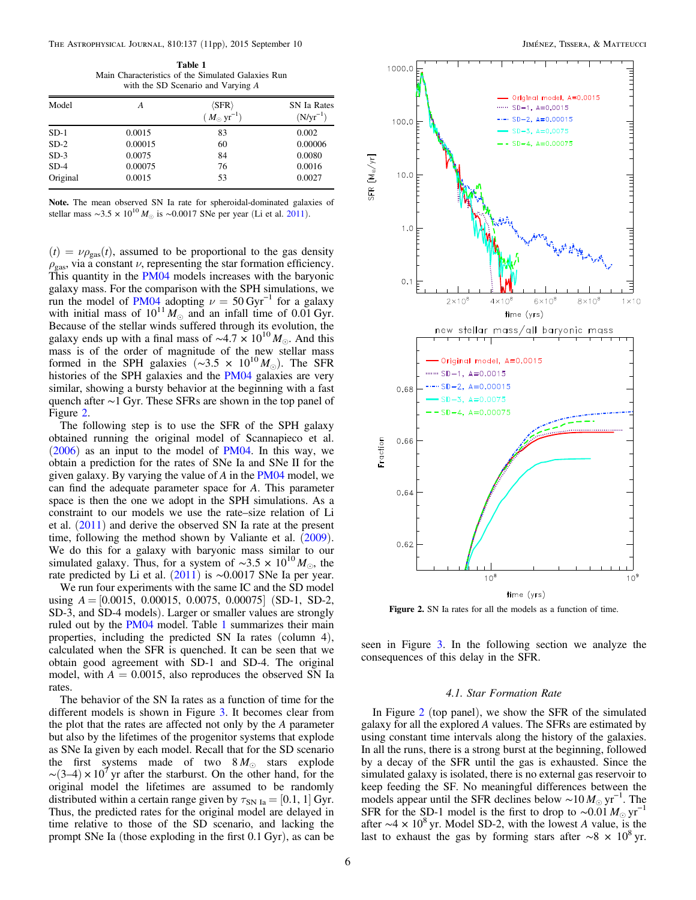<span id="page-5-0"></span>Table 1 Main Characteristics of the Simulated Galaxies Run with the SD Scenario and Varying A

| Model    | A       | $\langle SFR \rangle$          | <b>SN</b> Ia Rates |
|----------|---------|--------------------------------|--------------------|
|          |         | $(M_{\odot}~\mathrm{yr}^{-1})$ | $(N/yr^{-1})$      |
| $SD-1$   | 0.0015  | 83                             | 0.002              |
| $SD-2$   | 0.00015 | 60                             | 0.00006            |
| $SD-3$   | 0.0075  | 84                             | 0.0080             |
| $SD-4$   | 0.00075 | 76                             | 0.0016             |
| Original | 0.0015  | 53                             | 0.0027             |

Note. The mean observed SN Ia rate for spheroidal-dominated galaxies of stellar mass ~3.5 × 10<sup>10</sup>  $M_{\odot}$  is ~0.0017 SNe per year (Li et al. [2011](#page-10-0)).

 $(t) = \nu \rho_{\text{gas}}(t)$ , assumed to be proportional to the gas density  $\rho_{\text{gas}}$ , via a constant  $\nu$ , representing the star formation efficiency. This quantity in the [PM04](#page-10-0) models increases with the baryonic galaxy mass. For the comparison with the SPH simulations, we run the model of [PM04](#page-10-0) adopting  $\nu = 50$  Gyr<sup>-1</sup> for a galaxy with initial mass of  $10^{11} M_{\odot}$  and an infall time of 0.01 Gyr. Because of the stellar winds suffered through its evolution, the galaxy ends up with a final mass of ~4.7 × 10<sup>10</sup>  $M_{\odot}$ . And this mass is of the order of magnitude of the new stellar mass formed in the SPH galaxies ( $\sim$ 3.5 × 10<sup>10</sup> M<sub>☉</sub>). The SFR histories of the SPH galaxies and the [PM04](#page-10-0) galaxies are very similar, showing a bursty behavior at the beginning with a fast quench after ∼1 Gyr. These SFRs are shown in the top panel of Figure 2.

The following step is to use the SFR of the SPH galaxy obtained running the original model of Scannapieco et al.  $(2006)$  $(2006)$  $(2006)$  as an input to the model of [PM04.](#page-10-0) In this way, we obtain a prediction for the rates of SNe Ia and SNe II for the given galaxy. By varying the value of  $A$  in the  $PM04$  model, we can find the adequate parameter space for A. This parameter space is then the one we adopt in the SPH simulations. As a constraint to our models we use the rate–size relation of Li et al. ([2011](#page-10-0)) and derive the observed SN Ia rate at the present time, following the method shown by Valiante et al. ([2009](#page-10-0)). We do this for a galaxy with baryonic mass similar to our simulated galaxy. Thus, for a system of ~3.5 × 10<sup>10</sup>  $M_{\odot}$ , the rate predicted by Li et al. ([2011](#page-10-0)) is ∼0.0017 SNe Ia per year.

We run four experiments with the same IC and the SD model using  $A = \begin{bmatrix} 0.0015, 0.00015, 0.0075, 0.00075 \end{bmatrix}$  (SD-1, SD-2, SD-3, and SD-4 models). Larger or smaller values are strongly ruled out by the [PM04](#page-10-0) model. Table 1 summarizes their main properties, including the predicted SN Ia rates (column 4), calculated when the SFR is quenched. It can be seen that we obtain good agreement with SD-1 and SD-4. The original model, with  $A = 0.0015$ , also reproduces the observed SN Ia rates.

The behavior of the SN Ia rates as a function of time for the different models is shown in Figure [3](#page-6-0). It becomes clear from the plot that the rates are affected not only by the A parameter but also by the lifetimes of the progenitor systems that explode as SNe Ia given by each model. Recall that for the SD scenario the first systems made of two  $8 M_{\odot}$  stars explode  $\sim$ (3–4) × 10<sup>7</sup> yr after the starburst. On the other hand, for the original model the lifetimes are assumed to be randomly distributed within a certain range given by  $\tau_{SN Ia} = [0.1, 1]$  Gyr. Thus, the predicted rates for the original model are delayed in time relative to those of the SD scenario, and lacking the prompt SNe Ia (those exploding in the first 0.1 Gyr), as can be



Figure 2. SN Ia rates for all the models as a function of time.

seen in Figure [3.](#page-6-0) In the following section we analyze the consequences of this delay in the SFR.

## 4.1. Star Formation Rate

In Figure 2 (top panel), we show the SFR of the simulated galaxy for all the explored A values. The SFRs are estimated by using constant time intervals along the history of the galaxies. In all the runs, there is a strong burst at the beginning, followed by a decay of the SFR until the gas is exhausted. Since the simulated galaxy is isolated, there is no external gas reservoir to keep feeding the SF. No meaningful differences between the models appear until the SFR declines below ~10  $M_{\odot}$  yr<sup>-1</sup>. The SFR for the SD-1 model is the first to drop to ~0.01  $M_{\odot}$  yr<sup>-1</sup> after  $\sim$ 4 × 10<sup>8</sup> yr. Model SD-2, with the lowest A value, is the last to exhaust the gas by forming stars after  $~\sim 8~\times~10^8$  yr.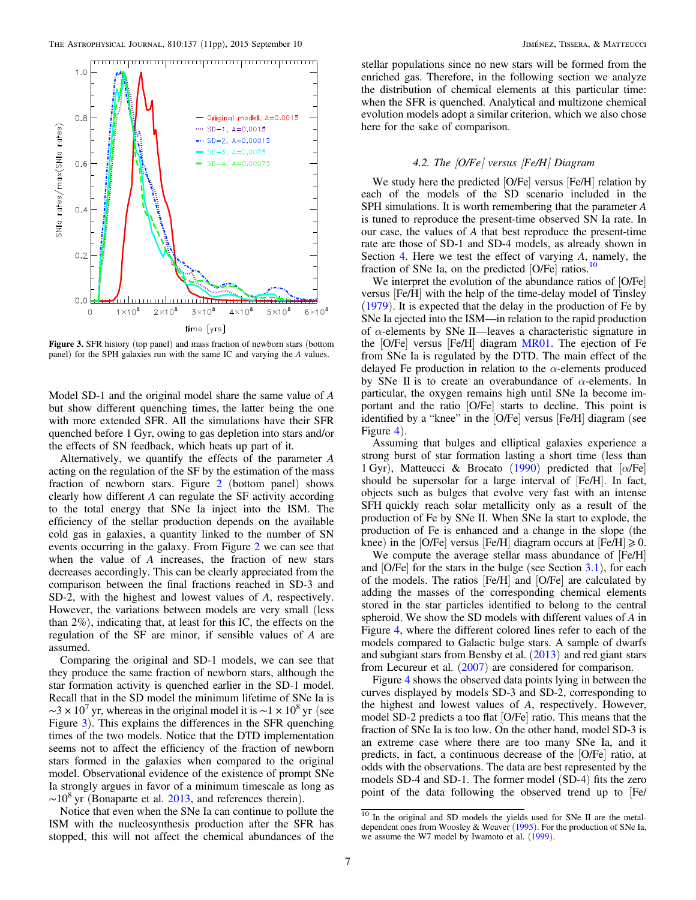<span id="page-6-0"></span>

Figure 3. SFR history (top panel) and mass fraction of newborn stars (bottom panel) for the SPH galaxies run with the same IC and varying the A values.

time [yrs]

 $5 \times 10^8$ 

 $6 \times 10^8$ 

 $2 \times 10^8$ 

 $1 \times 10^8$ 

 $\mathsf{O}\xspace$ 

Model SD-1 and the original model share the same value of A but show different quenching times, the latter being the one with more extended SFR. All the simulations have their SFR quenched before 1 Gyr, owing to gas depletion into stars and/or the effects of SN feedback, which heats up part of it.

Alternatively, we quantify the effects of the parameter A acting on the regulation of the SF by the estimation of the mass fraction of newborn stars. Figure [2](#page-5-0) (bottom panel) shows clearly how different A can regulate the SF activity according to the total energy that SNe Ia inject into the ISM. The efficiency of the stellar production depends on the available cold gas in galaxies, a quantity linked to the number of SN events occurring in the galaxy. From Figure [2](#page-5-0) we can see that when the value of A increases, the fraction of new stars decreases accordingly. This can be clearly appreciated from the comparison between the final fractions reached in SD-3 and SD-2, with the highest and lowest values of A, respectively. However, the variations between models are very small (less than 2%), indicating that, at least for this IC, the effects on the regulation of the SF are minor, if sensible values of A are assumed.

Comparing the original and SD-1 models, we can see that they produce the same fraction of newborn stars, although the star formation activity is quenched earlier in the SD-1 model. Recall that in the SD model the minimum lifetime of SNe Ia is  $\sim$ 3 × 10<sup>7</sup> yr, whereas in the original model it is  $\sim$ 1 × 10<sup>8</sup> yr (see Figure 3). This explains the differences in the SFR quenching times of the two models. Notice that the DTD implementation seems not to affect the efficiency of the fraction of newborn stars formed in the galaxies when compared to the original model. Observational evidence of the existence of prompt SNe Ia strongly argues in favor of a minimum timescale as long as  $\sim$ 10<sup>8</sup> yr (Bonaparte et al. [2013,](#page-10-0) and references therein).

Notice that even when the SNe Ia can continue to pollute the ISM with the nucleosynthesis production after the SFR has stopped, this will not affect the chemical abundances of the

stellar populations since no new stars will be formed from the enriched gas. Therefore, in the following section we analyze the distribution of chemical elements at this particular time: when the SFR is quenched. Analytical and multizone chemical evolution models adopt a similar criterion, which we also chose here for the sake of comparison.

# 4.2. The  $[O/Fe]$  versus  $[Fe/H]$  Diagram

We study here the predicted [O/Fe] versus [Fe/H] relation by each of the models of the SD scenario included in the SPH simulations. It is worth remembering that the parameter A is tuned to reproduce the present-time observed SN Ia rate. In our case, the values of A that best reproduce the present-time rate are those of SD-1 and SD-4 models, as already shown in Section [4.](#page-4-0) Here we test the effect of varying A, namely, the fraction of SNe Ia, on the predicted [O/Fe] ratios.<sup>10</sup>

We interpret the evolution of the abundance ratios of [O/Fe] versus [Fe/H] with the help of the time-delay model of Tinsley ([1979](#page-10-0)). It is expected that the delay in the production of Fe by SNe Ia ejected into the ISM—in relation to the rapid production of  $\alpha$ -elements by SNe II—leaves a characteristic signature in the [O/Fe] versus [Fe/H] diagram [MR01.](#page-10-0) The ejection of Fe from SNe Ia is regulated by the DTD. The main effect of the delayed Fe production in relation to the  $\alpha$ -elements produced by SNe II is to create an overabundance of  $\alpha$ -elements. In particular, the oxygen remains high until SNe Ia become important and the ratio [O/Fe] starts to decline. This point is identified by a "knee" in the [O/Fe] versus [Fe/H] diagram (see Figure [4](#page-7-0)).

Assuming that bulges and elliptical galaxies experience a strong burst of star formation lasting a short time (less than 1 Gyr), Matteucci & Brocato ([1990](#page-10-0)) predicted that  $\left[\alpha/\text{Fe}\right]$ should be supersolar for a large interval of [Fe/H]. In fact, objects such as bulges that evolve very fast with an intense SFH quickly reach solar metallicity only as a result of the production of Fe by SNe II. When SNe Ia start to explode, the production of Fe is enhanced and a change in the slope (the knee) in the [O/Fe] versus [Fe/H] diagram occurs at  $[Fe/H] \ge 0$ .

We compute the average stellar mass abundance of [Fe/H] and [O/Fe] for the stars in the bulge (see Section [3.1](#page-3-0)), for each of the models. The ratios [Fe/H] and [O/Fe] are calculated by adding the masses of the corresponding chemical elements stored in the star particles identified to belong to the central spheroid. We show the SD models with different values of A in Figure [4,](#page-7-0) where the different colored lines refer to each of the models compared to Galactic bulge stars. A sample of dwarfs and subgiant stars from Bensby et al. ([2013](#page-10-0)) and red giant stars from Lecureur et al. ([2007](#page-10-0)) are considered for comparison.

Figure [4](#page-7-0) shows the observed data points lying in between the curves displayed by models SD-3 and SD-2, corresponding to the highest and lowest values of A, respectively. However, model SD-2 predicts a too flat [O/Fe] ratio. This means that the fraction of SNe Ia is too low. On the other hand, model SD-3 is an extreme case where there are too many SNe Ia, and it predicts, in fact, a continuous decrease of the [O/Fe] ratio, at odds with the observations. The data are best represented by the models SD-4 and SD-1. The former model (SD-4) fits the zero point of the data following the observed trend up to [Fe/

 $\frac{10}{10}$  In the original and SD models the yields used for SNe II are the metaldependent ones from Woosley & Weaver ([1995](#page-10-0)). For the production of SNe Ia, we assume the W7 model by Iwamoto et al. ([1999](#page-10-0)).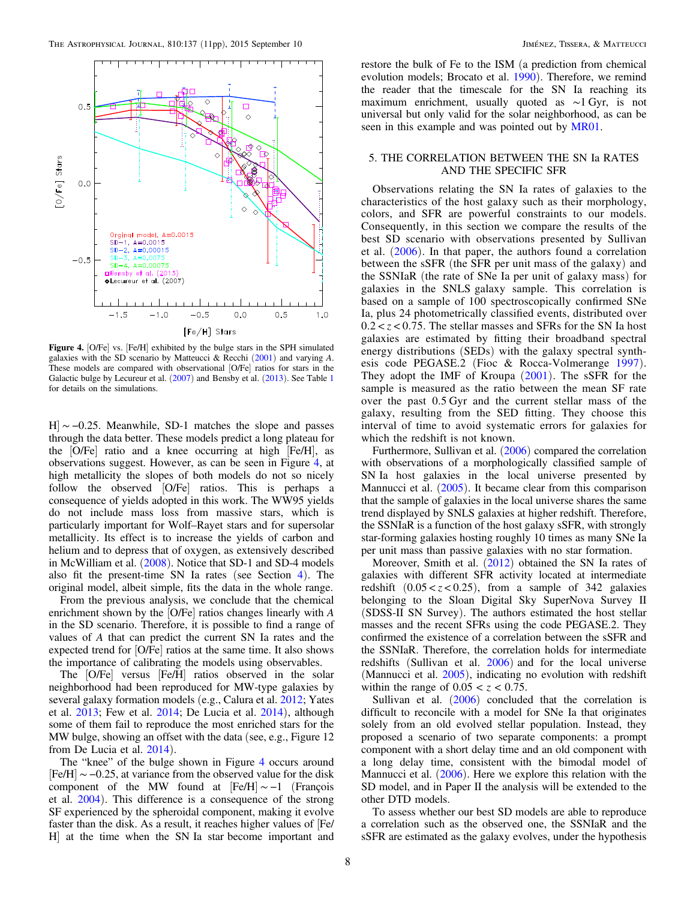<span id="page-7-0"></span>

Figure 4. [O/Fe] vs. [Fe/H] exhibited by the bulge stars in the SPH simulated galaxies with the SD scenario by Matteucci & Recchi ([2001](#page-10-0)) and varying A. These models are compared with observational [O/Fe] ratios for stars in the Galactic bulge by Lecureur et al.  $(2007)$  $(2007)$  $(2007)$  and Bensby et al.  $(2013)$  $(2013)$  $(2013)$ . See Table [1](#page-5-0) for details on the simulations.

H $\sim$  –0.25. Meanwhile, SD-1 matches the slope and passes through the data better. These models predict a long plateau for the [O/Fe] ratio and a knee occurring at high [Fe/H], as observations suggest. However, as can be seen in Figure 4, at high metallicity the slopes of both models do not so nicely follow the observed [O/Fe] ratios. This is perhaps a consequence of yields adopted in this work. The WW95 yields do not include mass loss from massive stars, which is particularly important for Wolf–Rayet stars and for supersolar metallicity. Its effect is to increase the yields of carbon and helium and to depress that of oxygen, as extensively described in McWilliam et al. ([2008](#page-10-0)). Notice that SD-1 and SD-4 models also fit the present-time SN Ia rates (see Section [4](#page-4-0)). The original model, albeit simple, fits the data in the whole range.

From the previous analysis, we conclude that the chemical enrichment shown by the [O/Fe] ratios changes linearly with A in the SD scenario. Therefore, it is possible to find a range of values of A that can predict the current SN Ia rates and the expected trend for [O/Fe] ratios at the same time. It also shows the importance of calibrating the models using observables.

The [O/Fe] versus [Fe/H] ratios observed in the solar neighborhood had been reproduced for MW-type galaxies by several galaxy formation models (e.g., Calura et al. [2012;](#page-10-0) Yates et al. [2013;](#page-10-0) Few et al. [2014;](#page-10-0) De Lucia et al. [2014](#page-10-0)), although some of them fail to reproduce the most enriched stars for the MW bulge, showing an offset with the data (see, e.g., Figure 12 from De Lucia et al. [2014](#page-10-0)).

The "knee" of the bulge shown in Figure 4 occurs around [Fe/H] ∼ −0.25, at variance from the observed value for the disk component of the MW found at [Fe/H] ∼ −1 (François et al. [2004](#page-10-0)). This difference is a consequence of the strong SF experienced by the spheroidal component, making it evolve faster than the disk. As a result, it reaches higher values of [Fe/ H] at the time when the SN Ia star become important and

restore the bulk of Fe to the ISM (a prediction from chemical evolution models; Brocato et al. [1990](#page-10-0)). Therefore, we remind the reader that the timescale for the SN Ia reaching its maximum enrichment, usually quoted as ∼1 Gyr, is not universal but only valid for the solar neighborhood, as can be seen in this example and was pointed out by [MR01](#page-10-0).

## 5. THE CORRELATION BETWEEN THE SN Ia RATES AND THE SPECIFIC SFR

Observations relating the SN Ia rates of galaxies to the characteristics of the host galaxy such as their morphology, colors, and SFR are powerful constraints to our models. Consequently, in this section we compare the results of the best SD scenario with observations presented by Sullivan et al. ([2006](#page-10-0)). In that paper, the authors found a correlation between the sSFR (the SFR per unit mass of the galaxy) and the SSNIaR (the rate of SNe Ia per unit of galaxy mass) for galaxies in the SNLS galaxy sample. This correlation is based on a sample of 100 spectroscopically confirmed SNe Ia, plus 24 photometrically classified events, distributed over  $0.2 < z < 0.75$ . The stellar masses and SFRs for the SN Ia host galaxies are estimated by fitting their broadband spectral energy distributions (SEDs) with the galaxy spectral synthesis code PEGASE.2 (Fioc & Rocca-Volmerange [1997](#page-10-0)). They adopt the IMF of Kroupa ([2001](#page-10-0)). The sSFR for the sample is measured as the ratio between the mean SF rate over the past 0.5 Gyr and the current stellar mass of the galaxy, resulting from the SED fitting. They choose this interval of time to avoid systematic errors for galaxies for which the redshift is not known.

Furthermore, Sullivan et al. ([2006](#page-10-0)) compared the correlation with observations of a morphologically classified sample of SN Ia host galaxies in the local universe presented by Mannucci et al. ([2005](#page-10-0)). It became clear from this comparison that the sample of galaxies in the local universe shares the same trend displayed by SNLS galaxies at higher redshift. Therefore, the SSNIaR is a function of the host galaxy sSFR, with strongly star-forming galaxies hosting roughly 10 times as many SNe Ia per unit mass than passive galaxies with no star formation.

Moreover, Smith et al. ([2012](#page-10-0)) obtained the SN Ia rates of galaxies with different SFR activity located at intermediate redshift  $(0.05 < z < 0.25)$ , from a sample of 342 galaxies belonging to the Sloan Digital Sky SuperNova Survey II (SDSS-II SN Survey). The authors estimated the host stellar masses and the recent SFRs using the code PEGASE.2. They confirmed the existence of a correlation between the sSFR and the SSNIaR. Therefore, the correlation holds for intermediate redshifts (Sullivan et al. [2006](#page-10-0)) and for the local universe (Mannucci et al. [2005](#page-10-0)), indicating no evolution with redshift within the range of  $0.05 < z < 0.75$ .

Sullivan et al. ([2006](#page-10-0)) concluded that the correlation is difficult to reconcile with a model for SNe Ia that originates solely from an old evolved stellar population. Instead, they proposed a scenario of two separate components: a prompt component with a short delay time and an old component with a long delay time, consistent with the bimodal model of Mannucci et al. ([2006](#page-10-0)). Here we explore this relation with the SD model, and in Paper II the analysis will be extended to the other DTD models.

To assess whether our best SD models are able to reproduce a correlation such as the observed one, the SSNIaR and the sSFR are estimated as the galaxy evolves, under the hypothesis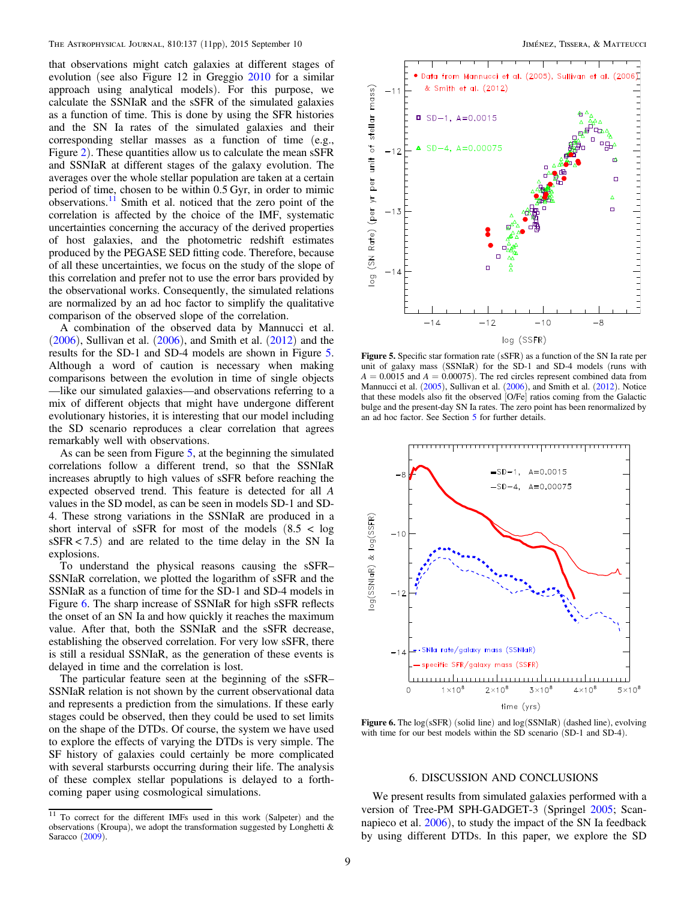<span id="page-8-0"></span>that observations might catch galaxies at different stages of evolution (see also Figure 12 in Greggio [2010](#page-10-0) for a similar approach using analytical models). For this purpose, we calculate the SSNIaR and the sSFR of the simulated galaxies as a function of time. This is done by using the SFR histories and the SN Ia rates of the simulated galaxies and their corresponding stellar masses as a function of time (e.g., Figure [2](#page-5-0)). These quantities allow us to calculate the mean sSFR and SSNIaR at different stages of the galaxy evolution. The averages over the whole stellar population are taken at a certain period of time, chosen to be within 0.5 Gyr, in order to mimic  $\alpha$ bservations.<sup>11</sup> Smith et al. noticed that the zero point of the correlation is affected by the choice of the IMF, systematic uncertainties concerning the accuracy of the derived properties of host galaxies, and the photometric redshift estimates produced by the PEGASE SED fitting code. Therefore, because of all these uncertainties, we focus on the study of the slope of this correlation and prefer not to use the error bars provided by the observational works. Consequently, the simulated relations are normalized by an ad hoc factor to simplify the qualitative comparison of the observed slope of the correlation.

A combination of the observed data by Mannucci et al.  $(2006)$  $(2006)$  $(2006)$ , Sullivan et al.  $(2006)$ , and Smith et al.  $(2012)$  $(2012)$  $(2012)$  and the results for the SD-1 and SD-4 models are shown in Figure 5. Although a word of caution is necessary when making comparisons between the evolution in time of single objects —like our simulated galaxies—and observations referring to a mix of different objects that might have undergone different evolutionary histories, it is interesting that our model including the SD scenario reproduces a clear correlation that agrees remarkably well with observations.

As can be seen from Figure 5, at the beginning the simulated correlations follow a different trend, so that the SSNIaR increases abruptly to high values of sSFR before reaching the expected observed trend. This feature is detected for all A values in the SD model, as can be seen in models SD-1 and SD-4. These strong variations in the SSNIaR are produced in a short interval of sSFR for most of the models  $(8.5 <$  log  $sSFR < 7.5$  and are related to the time delay in the SN Ia explosions.

To understand the physical reasons causing the sSFR– SSNIaR correlation, we plotted the logarithm of sSFR and the SSNIaR as a function of time for the SD-1 and SD-4 models in Figure 6. The sharp increase of SSNIaR for high sSFR reflects the onset of an SN Ia and how quickly it reaches the maximum value. After that, both the SSNIaR and the sSFR decrease, establishing the observed correlation. For very low sSFR, there is still a residual SSNIaR, as the generation of these events is delayed in time and the correlation is lost.

The particular feature seen at the beginning of the sSFR– SSNIaR relation is not shown by the current observational data and represents a prediction from the simulations. If these early stages could be observed, then they could be used to set limits on the shape of the DTDs. Of course, the system we have used to explore the effects of varying the DTDs is very simple. The SF history of galaxies could certainly be more complicated with several starbursts occurring during their life. The analysis of these complex stellar populations is delayed to a forthcoming paper using cosmological simulations.



Figure 5. Specific star formation rate (sSFR) as a function of the SN Ia rate per unit of galaxy mass (SSNIaR) for the SD-1 and SD-4 models (runs with  $A = 0.0015$  and  $A = 0.00075$ ). The red circles represent combined data from Mannucci et al. ([2005](#page-10-0)), Sullivan et al. ([2006](#page-10-0)), and Smith et al. ([2012](#page-10-0)). Notice that these models also fit the observed [O/Fe] ratios coming from the Galactic bulge and the present-day SN Ia rates. The zero point has been renormalized by an ad hoc factor. See Section [5](#page-7-0) for further details.



Figure 6. The log(sSFR) (solid line) and log(SSNIaR) (dashed line), evolving with time for our best models within the SD scenario (SD-1 and SD-4).

#### 6. DISCUSSION AND CONCLUSIONS

We present results from simulated galaxies performed with a version of Tree-PM SPH-GADGET-3 (Springel [2005;](#page-10-0) Scannapieco et al. [2006](#page-10-0)), to study the impact of the SN Ia feedback by using different DTDs. In this paper, we explore the SD

 $\frac{11}{11}$  To correct for the different IMFs used in this work (Salpeter) and the observations (Kroupa), we adopt the transformation suggested by Longhetti & Saracco ([2009](#page-10-0)).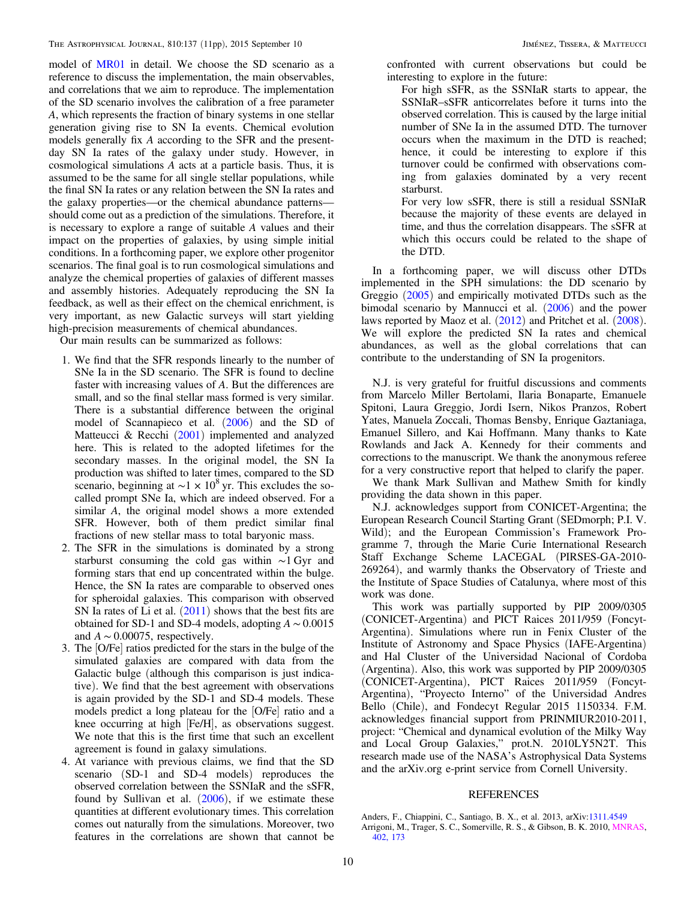<span id="page-9-0"></span>model of [MR01](#page-10-0) in detail. We choose the SD scenario as a reference to discuss the implementation, the main observables, and correlations that we aim to reproduce. The implementation of the SD scenario involves the calibration of a free parameter A, which represents the fraction of binary systems in one stellar generation giving rise to SN Ia events. Chemical evolution models generally fix A according to the SFR and the presentday SN Ia rates of the galaxy under study. However, in cosmological simulations A acts at a particle basis. Thus, it is assumed to be the same for all single stellar populations, while the final SN Ia rates or any relation between the SN Ia rates and the galaxy properties—or the chemical abundance patterns should come out as a prediction of the simulations. Therefore, it is necessary to explore a range of suitable A values and their impact on the properties of galaxies, by using simple initial conditions. In a forthcoming paper, we explore other progenitor scenarios. The final goal is to run cosmological simulations and analyze the chemical properties of galaxies of different masses and assembly histories. Adequately reproducing the SN Ia feedback, as well as their effect on the chemical enrichment, is very important, as new Galactic surveys will start yielding high-precision measurements of chemical abundances.

Our main results can be summarized as follows:

- 1. We find that the SFR responds linearly to the number of SNe Ia in the SD scenario. The SFR is found to decline faster with increasing values of A. But the differences are small, and so the final stellar mass formed is very similar. There is a substantial difference between the original model of Scannapieco et al. ([2006](#page-10-0)) and the SD of Matteucci & Recchi ([2001](#page-10-0)) implemented and analyzed here. This is related to the adopted lifetimes for the secondary masses. In the original model, the SN Ia production was shifted to later times, compared to the SD scenario, beginning at  $\sim$ 1 × 10<sup>8</sup> yr. This excludes the socalled prompt SNe Ia, which are indeed observed. For a similar A, the original model shows a more extended SFR. However, both of them predict similar final fractions of new stellar mass to total baryonic mass.
- 2. The SFR in the simulations is dominated by a strong starburst consuming the cold gas within ∼1 Gyr and forming stars that end up concentrated within the bulge. Hence, the SN Ia rates are comparable to observed ones for spheroidal galaxies. This comparison with observed SN Ia rates of Li et al.  $(2011)$  $(2011)$  $(2011)$  shows that the best fits are obtained for SD-1 and SD-4 models, adopting  $A \sim 0.0015$ and  $A \sim 0.00075$ , respectively.
- 3. The [O/Fe] ratios predicted for the stars in the bulge of the simulated galaxies are compared with data from the Galactic bulge (although this comparison is just indicative). We find that the best agreement with observations is again provided by the SD-1 and SD-4 models. These models predict a long plateau for the [O/Fe] ratio and a knee occurring at high [Fe/H], as observations suggest. We note that this is the first time that such an excellent agreement is found in galaxy simulations.
- 4. At variance with previous claims, we find that the SD scenario (SD-1 and SD-4 models) reproduces the observed correlation between the SSNIaR and the sSFR, found by Sullivan et al.  $(2006)$  $(2006)$  $(2006)$ , if we estimate these quantities at different evolutionary times. This correlation comes out naturally from the simulations. Moreover, two features in the correlations are shown that cannot be

confronted with current observations but could be interesting to explore in the future:

For high sSFR, as the SSNIaR starts to appear, the SSNIaR–sSFR anticorrelates before it turns into the observed correlation. This is caused by the large initial number of SNe Ia in the assumed DTD. The turnover occurs when the maximum in the DTD is reached; hence, it could be interesting to explore if this turnover could be confirmed with observations coming from galaxies dominated by a very recent starburst. For very low sSFR, there is still a residual SSNIaR because the majority of these events are delayed in time, and thus the correlation disappears. The sSFR at

which this occurs could be related to the shape of

In a forthcoming paper, we will discuss other DTDs implemented in the SPH simulations: the DD scenario by Greggio ([2005](#page-10-0)) and empirically motivated DTDs such as the bimodal scenario by Mannucci et al. ([2006](#page-10-0)) and the power laws reported by Maoz et al. ([2012](#page-10-0)) and Pritchet et al. ([2008](#page-10-0)). We will explore the predicted SN Ia rates and chemical abundances, as well as the global correlations that can contribute to the understanding of SN Ia progenitors.

the DTD.

N.J. is very grateful for fruitful discussions and comments from Marcelo Miller Bertolami, Ilaria Bonaparte, Emanuele Spitoni, Laura Greggio, Jordi Isern, Nikos Pranzos, Robert Yates, Manuela Zoccali, Thomas Bensby, Enrique Gaztaniaga, Emanuel Sillero, and Kai Hoffmann. Many thanks to Kate Rowlands and Jack A. Kennedy for their comments and corrections to the manuscript. We thank the anonymous referee for a very constructive report that helped to clarify the paper.

We thank Mark Sullivan and Mathew Smith for kindly providing the data shown in this paper.

N.J. acknowledges support from CONICET-Argentina; the European Research Council Starting Grant (SEDmorph; P.I. V. Wild); and the European Commission's Framework Programme 7, through the Marie Curie International Research Staff Exchange Scheme LACEGAL (PIRSES-GA-2010- 269264), and warmly thanks the Observatory of Trieste and the Institute of Space Studies of Catalunya, where most of this work was done.

This work was partially supported by PIP 2009/0305 (CONICET-Argentina) and PICT Raices 2011/959 (Foncyt-Argentina). Simulations where run in Fenix Cluster of the Institute of Astronomy and Space Physics (IAFE-Argentina) and Hal Cluster of the Universidad Nacional of Cordoba (Argentina). Also, this work was supported by PIP 2009/0305 (CONICET-Argentina), PICT Raices 2011/959 (Foncyt-Argentina), "Proyecto Interno" of the Universidad Andres Bello (Chile), and Fondecyt Regular 2015 1150334. F.M. acknowledges financial support from PRINMIUR2010-2011, project: "Chemical and dynamical evolution of the Milky Way and Local Group Galaxies," prot.N. 2010LY5N2T. This research made use of the NASA's Astrophysical Data Systems and the arXiv.org e-print service from Cornell University.

## REFERENCES

Anders, F., Chiappini, C., Santiago, B. X., et al. 2013, arXiv[:1311.4549](http://arXiv.org/abs/1311.4549) Arrigoni, M., Trager, S. C., Somerville, R. S., & Gibson, B. K. 2010, [MNRAS](http://dx.doi.org/10.1111/j.1365-2966.2009.15924.x)[,](http://adsabs.harvard.edu/abs/2010MNRAS.402..173A) [402, 173](http://adsabs.harvard.edu/abs/2010MNRAS.402..173A)